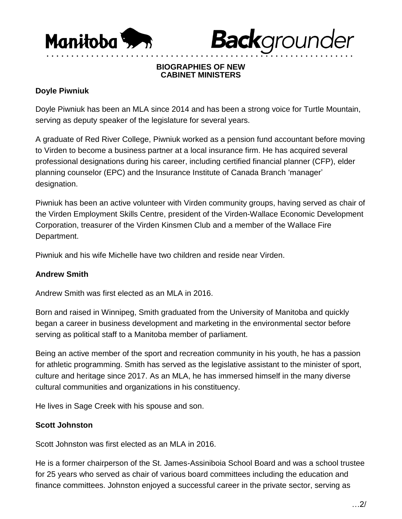



#### **BIOGRAPHIES OF NEW CABINET MINISTERS**

• • • • • • • • • • • • • • • • • • • • • • • • • • • • • • • • • • • • • • • • • • • • • • • • • • • • • • • • • • • • • •

### **Doyle Piwniuk**

Doyle Piwniuk has been an MLA since 2014 and has been a strong voice for Turtle Mountain, serving as deputy speaker of the legislature for several years.

A graduate of Red River College, Piwniuk worked as a pension fund accountant before moving to Virden to become a business partner at a local insurance firm. He has acquired several professional designations during his career, including certified financial planner (CFP), elder planning counselor (EPC) and the Insurance Institute of Canada Branch 'manager' designation.

Piwniuk has been an active volunteer with Virden community groups, having served as chair of the Virden Employment Skills Centre, president of the Virden-Wallace Economic Development Corporation, treasurer of the Virden Kinsmen Club and a member of the Wallace Fire Department.

Piwniuk and his wife Michelle have two children and reside near Virden.

### **Andrew Smith**

Andrew Smith was first elected as an MLA in 2016.

Born and raised in Winnipeg, Smith graduated from the University of Manitoba and quickly began a career in business development and marketing in the environmental sector before serving as political staff to a Manitoba member of parliament.

Being an active member of the sport and recreation community in his youth, he has a passion for athletic programming. Smith has served as the legislative assistant to the minister of sport, culture and heritage since 2017. As an MLA, he has immersed himself in the many diverse cultural communities and organizations in his constituency.

He lives in Sage Creek with his spouse and son.

# **Scott Johnston**

Scott Johnston was first elected as an MLA in 2016.

He is a former chairperson of the St. James-Assiniboia School Board and was a school trustee for 25 years who served as chair of various board committees including the education and finance committees. Johnston enjoyed a successful career in the private sector, serving as